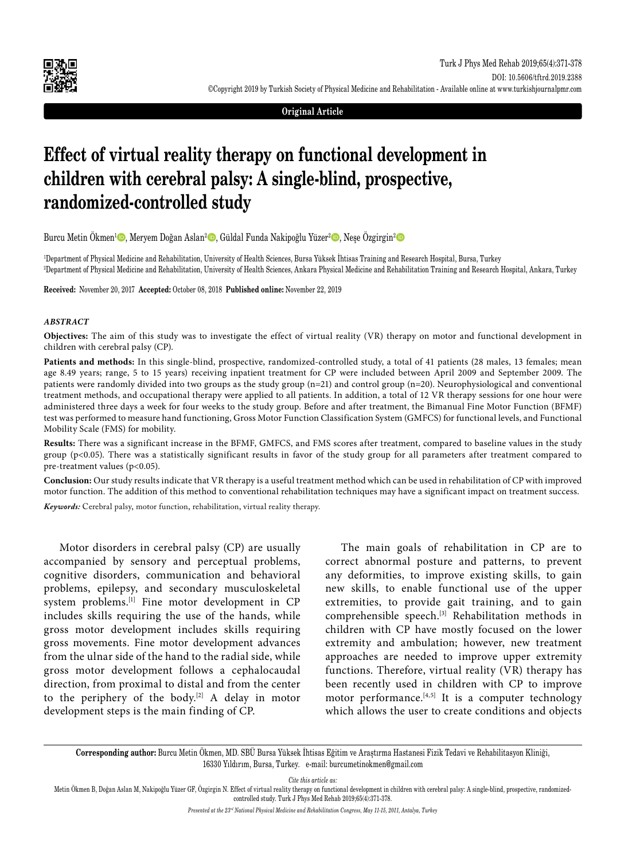

#### **Original Article**

# **Effect of virtual reality therapy on functional development in children with cerebral palsy: A single-blind, prospective, randomized-controlled study**

Burcu Metin Ökmen<sup>ı</sup> D, Meryem Doğan Aslan<sup>2</sup> D, Güldal Funda Nakipoğlu Yüzer<sup>2</sup> D, Neşe Özgirgin<sup>2</sup> D

1 Department of Physical Medicine and Rehabilitation, University of Health Sciences, Bursa Yüksek İhtisas Training and Research Hospital, Bursa, Turkey 2 Department of Physical Medicine and Rehabilitation, University of Health Sciences, Ankara Physical Medicine and Rehabilitation Training and Research Hospital, Ankara, Turkey

**Received:** November 20, 2017 **Accepted:** October 08, 2018 **Published online:** November 22, 2019

#### *ABSTRACT*

**Objectives:** The aim of this study was to investigate the effect of virtual reality (VR) therapy on motor and functional development in children with cerebral palsy (CP).

Patients and methods: In this single-blind, prospective, randomized-controlled study, a total of 41 patients (28 males, 13 females; mean age 8.49 years; range, 5 to 15 years) receiving inpatient treatment for CP were included between April 2009 and September 2009. The patients were randomly divided into two groups as the study group (n=21) and control group (n=20). Neurophysiological and conventional treatment methods, and occupational therapy were applied to all patients. In addition, a total of 12 VR therapy sessions for one hour were administered three days a week for four weeks to the study group. Before and after treatment, the Bimanual Fine Motor Function (BFMF) test was performed to measure hand functioning, Gross Motor Function Classification System (GMFCS) for functional levels, and Functional Mobility Scale (FMS) for mobility.

**Results:** There was a significant increase in the BFMF, GMFCS, and FMS scores after treatment, compared to baseline values in the study group (p<0.05). There was a statistically significant results in favor of the study group for all parameters after treatment compared to pre-treatment values (p<0.05).

**Conclusion:** Our study results indicate that VR therapy is a useful treatment method which can be used in rehabilitation of CP with improved motor function. The addition of this method to conventional rehabilitation techniques may have a significant impact on treatment success.

*Keywords:* Cerebral palsy, motor function, rehabilitation, virtual reality therapy.

Motor disorders in cerebral palsy (CP) are usually accompanied by sensory and perceptual problems, cognitive disorders, communication and behavioral problems, epilepsy, and secondary musculoskeletal system problems.[1] Fine motor development in CP includes skills requiring the use of the hands, while gross motor development includes skills requiring gross movements. Fine motor development advances from the ulnar side of the hand to the radial side, while gross motor development follows a cephalocaudal direction, from proximal to distal and from the center to the periphery of the body.[2] A delay in motor development steps is the main finding of CP.

The main goals of rehabilitation in CP are to correct abnormal posture and patterns, to prevent any deformities, to improve existing skills, to gain new skills, to enable functional use of the upper extremities, to provide gait training, and to gain comprehensible speech.[3] Rehabilitation methods in children with CP have mostly focused on the lower extremity and ambulation; however, new treatment approaches are needed to improve upper extremity functions. Therefore, virtual reality (VR) therapy has been recently used in children with CP to improve motor performance. $[4,5]$  It is a computer technology which allows the user to create conditions and objects

**Corresponding author:** Burcu Metin Ökmen, MD. SBÜ Bursa Yüksek İhtisas Eğitim ve Araştırma Hastanesi Fizik Tedavi ve Rehabilitasyon Kliniği, 16330 Yıldırım, Bursa, Turkey. e-mail: burcumetinokmen@gmail.com

*Cite this article as:*

Metin Ökmen B, Doğan Aslan M, Nakipoğlu Yüzer GF, Özgirgin N. Effect of virtual reality therapy on functional development in children with cerebral palsy: A single-blind, prospective, randomizedcontrolled study. Turk J Phys Med Rehab 2019;65(4):371-378.

*Presented at the 23rd National Physical Medicine and Rehabilitation Congress, May 11-15, 2011, Antalya, Turkey*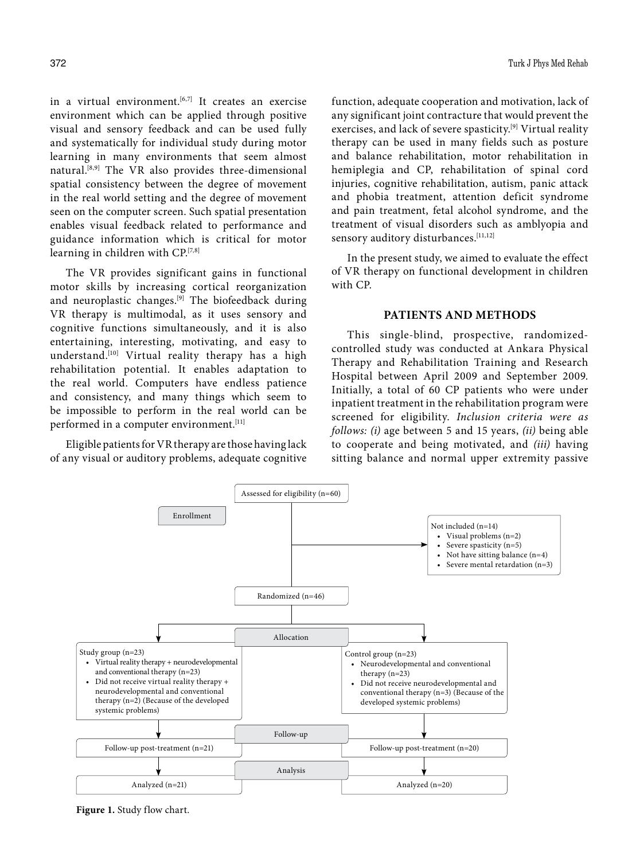in a virtual environment.<sup>[6,7]</sup> It creates an exercise environment which can be applied through positive visual and sensory feedback and can be used fully and systematically for individual study during motor learning in many environments that seem almost natural.[8,9] The VR also provides three-dimensional spatial consistency between the degree of movement in the real world setting and the degree of movement seen on the computer screen. Such spatial presentation enables visual feedback related to performance and guidance information which is critical for motor learning in children with CP.[7,8]

The VR provides significant gains in functional motor skills by increasing cortical reorganization and neuroplastic changes.<sup>[9]</sup> The biofeedback during VR therapy is multimodal, as it uses sensory and cognitive functions simultaneously, and it is also entertaining, interesting, motivating, and easy to understand.[10] Virtual reality therapy has a high rehabilitation potential. It enables adaptation to the real world. Computers have endless patience and consistency, and many things which seem to be impossible to perform in the real world can be performed in a computer environment.<sup>[11]</sup>

Eligible patients for VR therapy are those having lack of any visual or auditory problems, adequate cognitive function, adequate cooperation and motivation, lack of any significant joint contracture that would prevent the exercises, and lack of severe spasticity.[9] Virtual reality therapy can be used in many fields such as posture and balance rehabilitation, motor rehabilitation in hemiplegia and CP, rehabilitation of spinal cord injuries, cognitive rehabilitation, autism, panic attack and phobia treatment, attention deficit syndrome and pain treatment, fetal alcohol syndrome, and the treatment of visual disorders such as amblyopia and sensory auditory disturbances.<sup>[11,12]</sup>

In the present study, we aimed to evaluate the effect of VR therapy on functional development in children with CP.

#### **PATIENTS AND METHODS**

This single-blind, prospective, randomizedcontrolled study was conducted at Ankara Physical Therapy and Rehabilitation Training and Research Hospital between April 2009 and September 2009. Initially, a total of 60 CP patients who were under inpatient treatment in the rehabilitation program were screened for eligibility. *Inclusion criteria were as follows: (i)* age between 5 and 15 years, *(ii)* being able to cooperate and being motivated, and *(iii)* having sitting balance and normal upper extremity passive



**Figure 1.** Study flow chart.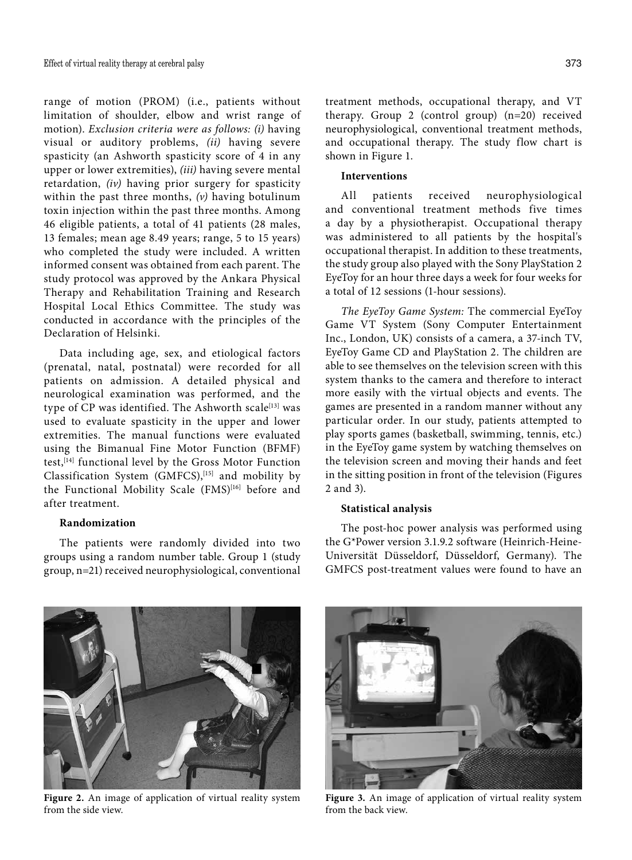range of motion (PROM) (i.e., patients without limitation of shoulder, elbow and wrist range of motion). *Exclusion criteria were as follows: (i)* having visual or auditory problems, *(ii)* having severe spasticity (an Ashworth spasticity score of 4 in any upper or lower extremities), *(iii)* having severe mental retardation, *(iv)* having prior surgery for spasticity within the past three months, *(v)* having botulinum toxin injection within the past three months. Among 46 eligible patients, a total of 41 patients (28 males, 13 females; mean age 8.49 years; range, 5 to 15 years) who completed the study were included. A written informed consent was obtained from each parent. The study protocol was approved by the Ankara Physical Therapy and Rehabilitation Training and Research Hospital Local Ethics Committee. The study was conducted in accordance with the principles of the Declaration of Helsinki.

Data including age, sex, and etiological factors (prenatal, natal, postnatal) were recorded for all patients on admission. A detailed physical and neurological examination was performed, and the type of CP was identified. The Ashworth scale<sup>[13]</sup> was used to evaluate spasticity in the upper and lower extremities. The manual functions were evaluated using the Bimanual Fine Motor Function (BFMF) test,<sup>[14]</sup> functional level by the Gross Motor Function Classification System (GMFCS),<sup>[15]</sup> and mobility by the Functional Mobility Scale (FMS)<sup>[16]</sup> before and after treatment.

## **Randomization**

The patients were randomly divided into two groups using a random number table. Group 1 (study group, n=21) received neurophysiological, conventional

treatment methods, occupational therapy, and VT therapy. Group 2 (control group) (n=20) received neurophysiological, conventional treatment methods, and occupational therapy. The study flow chart is shown in Figure 1.

#### **Interventions**

All patients received neurophysiological and conventional treatment methods five times a day by a physiotherapist. Occupational therapy was administered to all patients by the hospital's occupational therapist. In addition to these treatments, the study group also played with the Sony PlayStation 2 EyeToy for an hour three days a week for four weeks for a total of 12 sessions (1-hour sessions).

*The EyeToy Game System:* The commercial EyeToy Game VT System (Sony Computer Entertainment Inc., London, UK) consists of a camera, a 37-inch TV, EyeToy Game CD and PlayStation 2. The children are able to see themselves on the television screen with this system thanks to the camera and therefore to interact more easily with the virtual objects and events. The games are presented in a random manner without any particular order. In our study, patients attempted to play sports games (basketball, swimming, tennis, etc.) in the EyeToy game system by watching themselves on the television screen and moving their hands and feet in the sitting position in front of the television (Figures 2 and 3).

#### **Statistical analysis**

The post-hoc power analysis was performed using the G\*Power version 3.1.9.2 software (Heinrich-Heine-Universität Düsseldorf, Düsseldorf, Germany). The GMFCS post-treatment values were found to have an

**Figure 2.** An image of application of virtual reality system from the side view.

**Figure 3.** An image of application of virtual reality system from the back view.



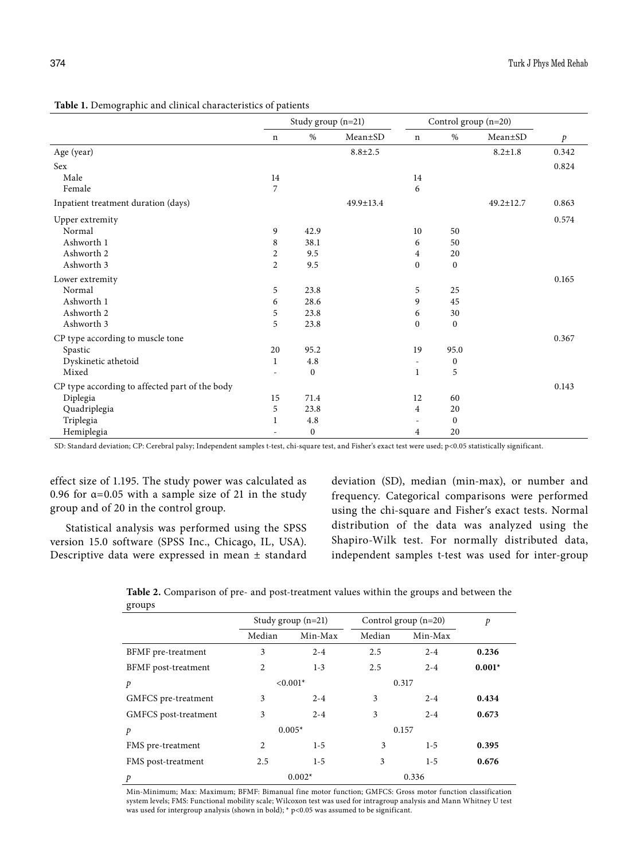|                                                | Study group $(n=21)$ |                  | Control group (n=20) |                |                  |               |       |
|------------------------------------------------|----------------------|------------------|----------------------|----------------|------------------|---------------|-------|
|                                                | $\mathbf n$          | %                | $Mean \pm SD$        | $\mathbf n$    | %                | Mean±SD       | p     |
| Age (year)                                     |                      |                  | $8.8 \pm 2.5$        |                |                  | $8.2 \pm 1.8$ | 0.342 |
| Sex                                            |                      |                  |                      |                |                  |               | 0.824 |
| Male                                           | 14                   |                  |                      | 14             |                  |               |       |
| Female                                         | 7                    |                  |                      | 6              |                  |               |       |
| Inpatient treatment duration (days)            |                      |                  | 49.9±13.4            |                |                  | 49.2±12.7     | 0.863 |
| Upper extremity                                |                      |                  |                      |                |                  |               | 0.574 |
| Normal                                         | 9                    | 42.9             |                      | 10             | 50               |               |       |
| Ashworth 1                                     | 8                    | 38.1             |                      | 6              | 50               |               |       |
| Ashworth 2                                     | $\overline{c}$       | 9.5              |                      | 4              | 20               |               |       |
| Ashworth 3                                     | $\overline{2}$       | 9.5              |                      | $\mathbf{0}$   | $\boldsymbol{0}$ |               |       |
| Lower extremity                                |                      |                  |                      |                |                  |               | 0.165 |
| Normal                                         | 5                    | 23.8             |                      | 5              | 25               |               |       |
| Ashworth 1                                     | 6                    | 28.6             |                      | 9              | 45               |               |       |
| Ashworth 2                                     | 5                    | 23.8             |                      | 6              | 30               |               |       |
| Ashworth 3                                     | 5                    | 23.8             |                      | $\Omega$       | $\boldsymbol{0}$ |               |       |
| CP type according to muscle tone               |                      |                  |                      |                |                  |               | 0.367 |
| Spastic                                        | 20                   | 95.2             |                      | 19             | 95.0             |               |       |
| Dyskinetic athetoid                            | 1                    | 4.8              |                      |                | $\bf{0}$         |               |       |
| Mixed                                          |                      | $\boldsymbol{0}$ |                      | 1              | 5                |               |       |
| CP type according to affected part of the body |                      |                  |                      |                |                  |               | 0.143 |
| Diplegia                                       | 15                   | 71.4             |                      | 12             | 60               |               |       |
| Quadriplegia                                   | 5                    | 23.8             |                      | $\overline{4}$ | 20               |               |       |
| Triplegia                                      | 1                    | 4.8              |                      |                | $\boldsymbol{0}$ |               |       |
| Hemiplegia                                     |                      | $\boldsymbol{0}$ |                      | 4              | 20               |               |       |

**Table 1.** Demographic and clinical characteristics of patients

SD: Standard deviation; CP: Cerebral palsy; Independent samples t-test, chi-square test, and Fisher's exact test were used; p<0.05 statistically significant.

effect size of 1.195. The study power was calculated as 0.96 for  $\alpha$ =0.05 with a sample size of 21 in the study group and of 20 in the control group.

Statistical analysis was performed using the SPSS version 15.0 software (SPSS Inc., Chicago, IL, USA). Descriptive data were expressed in mean ± standard deviation (SD), median (min-max), or number and frequency. Categorical comparisons were performed using the chi-square and Fisherʹs exact tests. Normal distribution of the data was analyzed using the Shapiro-Wilk test. For normally distributed data, independent samples t-test was used for inter-group

**Table 2.** Comparison of pre- and post-treatment values within the groups and between the groups

|                      |                | Study group $(n=21)$ |        | Control group $(n=20)$ |          |  |
|----------------------|----------------|----------------------|--------|------------------------|----------|--|
|                      | Median         | Min-Max              | Median | Min-Max                |          |  |
| BFMF pre-treatment   | 3              | $2 - 4$              | 2.5    | $2 - 4$                | 0.236    |  |
| BFMF post-treatment  | 2              | $1 - 3$              | 2.5    | $2 - 4$                | $0.001*$ |  |
| $\mathcal{P}$        |                | $< 0.001*$           |        | 0.317                  |          |  |
| GMFCS pre-treatment  | 3              | $2 - 4$              | 3      | $2 - 4$                | 0.434    |  |
| GMFCS post-treatment | 3              | $2 - 4$              | 3      | $2 - 4$                | 0.673    |  |
| p                    |                | $0.005*$             |        | 0.157                  |          |  |
| FMS pre-treatment    | $\overline{2}$ | $1-5$                | 3      | $1-5$                  | 0.395    |  |
| FMS post-treatment   | 2.5            | $1-5$                | 3      | $1-5$                  | 0.676    |  |
| p                    |                | $0.002*$             |        | 0.336                  |          |  |

Min-Minimum; Max: Maximum; BFMF: Bimanual fine motor function; GMFCS: Gross motor function classification system levels; FMS: Functional mobility scale; Wilcoxon test was used for intragroup analysis and Mann Whitney U test was used for intergroup analysis (shown in bold);  $*$  p<0.05 was assumed to be significant.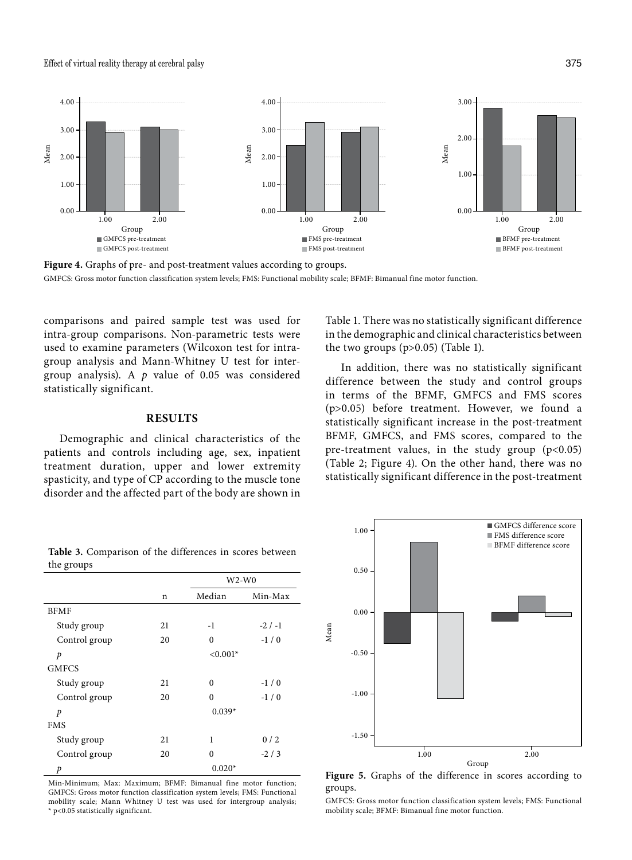Effect of virtual reality therapy at cerebral palsy 375



**Figure 4.** Graphs of pre- and post-treatment values according to groups. GMFCS: Gross motor function classification system levels; FMS: Functional mobility scale; BFMF: Bimanual fine motor function.

comparisons and paired sample test was used for intra-group comparisons. Non-parametric tests were used to examine parameters (Wilcoxon test for intragroup analysis and Mann-Whitney U test for intergroup analysis). A *p* value of 0.05 was considered statistically significant.

## **RESULTS**

Demographic and clinical characteristics of the patients and controls including age, sex, inpatient treatment duration, upper and lower extremity spasticity, and type of CP according to the muscle tone disorder and the affected part of the body are shown in Table 1. There was no statistically significant difference in the demographic and clinical characteristics between the two groups (p>0.05) (Table 1).

In addition, there was no statistically significant difference between the study and control groups in terms of the BFMF, GMFCS and FMS scores (p>0.05) before treatment. However, we found a statistically significant increase in the post-treatment BFMF, GMFCS, and FMS scores, compared to the pre-treatment values, in the study group  $(p<0.05)$ (Table 2; Figure 4). On the other hand, there was no statistically significant difference in the post-treatment



Min-Minimum; Max: Maximum; BFMF: Bimanual fine motor function; GMFCS: Gross motor function classification system levels; FMS: Functional mobility scale; Mann Whitney U test was used for intergroup analysis; \* p<0.05 statistically significant.



**Figure 5.** Graphs of the difference in scores according to groups.

GMFCS: Gross motor function classification system levels; FMS: Functional mobility scale; BFMF: Bimanual fine motor function.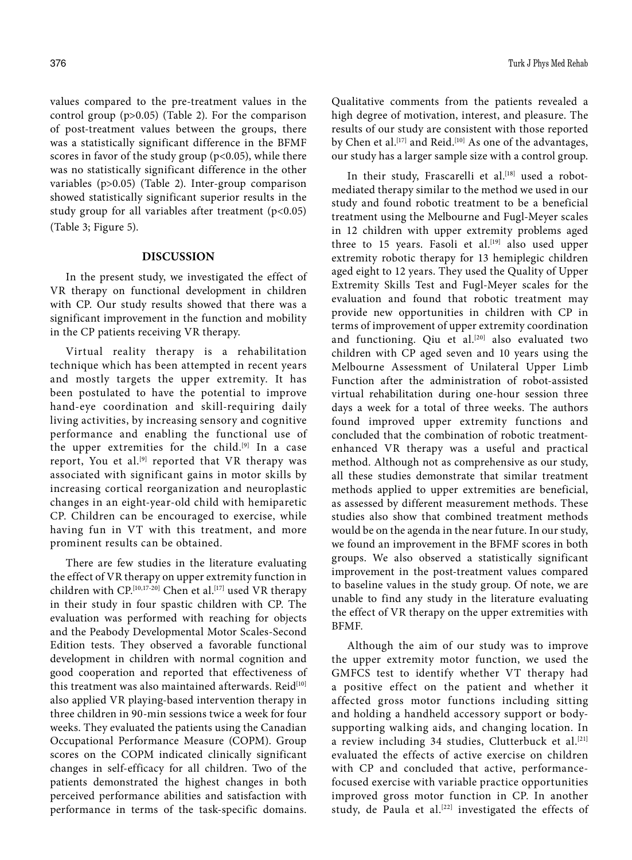values compared to the pre-treatment values in the control group (p>0.05) (Table 2). For the comparison of post-treatment values between the groups, there was a statistically significant difference in the BFMF scores in favor of the study group ( $p<0.05$ ), while there was no statistically significant difference in the other variables (p>0.05) (Table 2). Inter-group comparison showed statistically significant superior results in the study group for all variables after treatment (p<0.05) (Table 3; Figure 5).

## **DISCUSSION**

In the present study, we investigated the effect of VR therapy on functional development in children with CP. Our study results showed that there was a significant improvement in the function and mobility in the CP patients receiving VR therapy.

Virtual reality therapy is a rehabilitation technique which has been attempted in recent years and mostly targets the upper extremity. It has been postulated to have the potential to improve hand-eye coordination and skill-requiring daily living activities, by increasing sensory and cognitive performance and enabling the functional use of the upper extremities for the child.<sup>[9]</sup> In a case report, You et al.<sup>[9]</sup> reported that VR therapy was associated with significant gains in motor skills by increasing cortical reorganization and neuroplastic changes in an eight-year-old child with hemiparetic CP. Children can be encouraged to exercise, while having fun in VT with this treatment, and more prominent results can be obtained.

There are few studies in the literature evaluating the effect of VR therapy on upper extremity function in children with CP.<sup>[10,17-20]</sup> Chen et al.<sup>[17]</sup> used VR therapy in their study in four spastic children with CP. The evaluation was performed with reaching for objects and the Peabody Developmental Motor Scales-Second Edition tests. They observed a favorable functional development in children with normal cognition and good cooperation and reported that effectiveness of this treatment was also maintained afterwards. Reid<sup>[10]</sup> also applied VR playing-based intervention therapy in three children in 90-min sessions twice a week for four weeks. They evaluated the patients using the Canadian Occupational Performance Measure (COPM). Group scores on the COPM indicated clinically significant changes in self-efficacy for all children. Two of the patients demonstrated the highest changes in both perceived performance abilities and satisfaction with performance in terms of the task-specific domains. Qualitative comments from the patients revealed a high degree of motivation, interest, and pleasure. The results of our study are consistent with those reported by Chen et al.<sup>[17]</sup> and Reid.<sup>[10]</sup> As one of the advantages, our study has a larger sample size with a control group.

In their study, Frascarelli et al.<sup>[18]</sup> used a robotmediated therapy similar to the method we used in our study and found robotic treatment to be a beneficial treatment using the Melbourne and Fugl-Meyer scales in 12 children with upper extremity problems aged three to 15 years. Fasoli et al.<sup>[19]</sup> also used upper extremity robotic therapy for 13 hemiplegic children aged eight to 12 years. They used the Quality of Upper Extremity Skills Test and Fugl-Meyer scales for the evaluation and found that robotic treatment may provide new opportunities in children with CP in terms of improvement of upper extremity coordination and functioning. Qiu et al.<sup>[20]</sup> also evaluated two children with CP aged seven and 10 years using the Melbourne Assessment of Unilateral Upper Limb Function after the administration of robot-assisted virtual rehabilitation during one-hour session three days a week for a total of three weeks. The authors found improved upper extremity functions and concluded that the combination of robotic treatmentenhanced VR therapy was a useful and practical method. Although not as comprehensive as our study, all these studies demonstrate that similar treatment methods applied to upper extremities are beneficial, as assessed by different measurement methods. These studies also show that combined treatment methods would be on the agenda in the near future. In our study, we found an improvement in the BFMF scores in both groups. We also observed a statistically significant improvement in the post-treatment values compared to baseline values in the study group. Of note, we are unable to find any study in the literature evaluating the effect of VR therapy on the upper extremities with BFMF.

Although the aim of our study was to improve the upper extremity motor function, we used the GMFCS test to identify whether VT therapy had a positive effect on the patient and whether it affected gross motor functions including sitting and holding a handheld accessory support or bodysupporting walking aids, and changing location. In a review including 34 studies, Clutterbuck et al.<sup>[21]</sup> evaluated the effects of active exercise on children with CP and concluded that active, performancefocused exercise with variable practice opportunities improved gross motor function in CP. In another study, de Paula et al.<sup>[22]</sup> investigated the effects of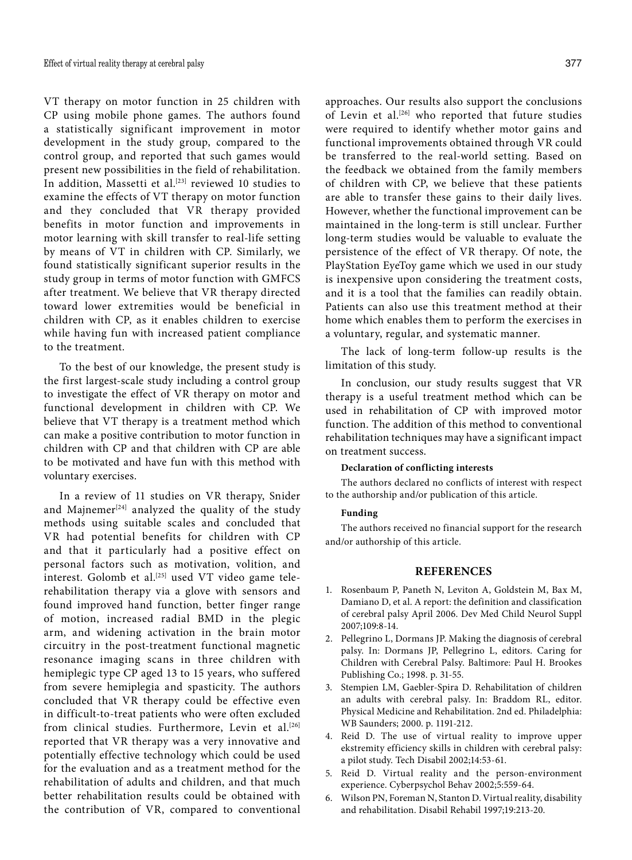VT therapy on motor function in 25 children with CP using mobile phone games. The authors found a statistically significant improvement in motor development in the study group, compared to the control group, and reported that such games would present new possibilities in the field of rehabilitation. In addition, Massetti et al.<sup>[23]</sup> reviewed 10 studies to examine the effects of VT therapy on motor function and they concluded that VR therapy provided benefits in motor function and improvements in motor learning with skill transfer to real-life setting by means of VT in children with CP. Similarly, we found statistically significant superior results in the study group in terms of motor function with GMFCS after treatment. We believe that VR therapy directed toward lower extremities would be beneficial in children with CP, as it enables children to exercise while having fun with increased patient compliance to the treatment.

To the best of our knowledge, the present study is the first largest-scale study including a control group to investigate the effect of VR therapy on motor and functional development in children with CP. We believe that VT therapy is a treatment method which can make a positive contribution to motor function in children with CP and that children with CP are able to be motivated and have fun with this method with voluntary exercises.

In a review of 11 studies on VR therapy, Snider and Majnemer<sup>[24]</sup> analyzed the quality of the study methods using suitable scales and concluded that VR had potential benefits for children with CP and that it particularly had a positive effect on personal factors such as motivation, volition, and interest. Golomb et al.<sup>[25]</sup> used VT video game telerehabilitation therapy via a glove with sensors and found improved hand function, better finger range of motion, increased radial BMD in the plegic arm, and widening activation in the brain motor circuitry in the post-treatment functional magnetic resonance imaging scans in three children with hemiplegic type CP aged 13 to 15 years, who suffered from severe hemiplegia and spasticity. The authors concluded that VR therapy could be effective even in difficult-to-treat patients who were often excluded from clinical studies. Furthermore, Levin et al.<sup>[26]</sup> reported that VR therapy was a very innovative and potentially effective technology which could be used for the evaluation and as a treatment method for the rehabilitation of adults and children, and that much better rehabilitation results could be obtained with the contribution of VR, compared to conventional

approaches. Our results also support the conclusions of Levin et al.<sup>[26]</sup> who reported that future studies were required to identify whether motor gains and functional improvements obtained through VR could be transferred to the real-world setting. Based on the feedback we obtained from the family members of children with CP, we believe that these patients are able to transfer these gains to their daily lives. However, whether the functional improvement can be maintained in the long-term is still unclear. Further long-term studies would be valuable to evaluate the persistence of the effect of VR therapy. Of note, the PlayStation EyeToy game which we used in our study is inexpensive upon considering the treatment costs, and it is a tool that the families can readily obtain. Patients can also use this treatment method at their home which enables them to perform the exercises in a voluntary, regular, and systematic manner.

The lack of long-term follow-up results is the limitation of this study.

In conclusion, our study results suggest that VR therapy is a useful treatment method which can be used in rehabilitation of CP with improved motor function. The addition of this method to conventional rehabilitation techniques may have a significant impact on treatment success.

## **Declaration of conflicting interests**

The authors declared no conflicts of interest with respect to the authorship and/or publication of this article.

#### **Funding**

The authors received no financial support for the research and/or authorship of this article.

## **REFERENCES**

- 1. Rosenbaum P, Paneth N, Leviton A, Goldstein M, Bax M, Damiano D, et al. A report: the definition and classification of cerebral palsy April 2006. Dev Med Child Neurol Suppl 2007;109:8-14.
- 2. Pellegrino L, Dormans JP. Making the diagnosis of cerebral palsy. In: Dormans JP, Pellegrino L, editors. Caring for Children with Cerebral Palsy. Baltimore: Paul H. Brookes Publishing Co.; 1998. p. 31-55.
- 3. Stempien LM, Gaebler-Spira D. Rehabilitation of children an adults with cerebral palsy. In: Braddom RL, editor. Physical Medicine and Rehabilitation. 2nd ed. Philadelphia: WB Saunders; 2000. p. 1191-212.
- 4. Reid D. The use of virtual reality to improve upper ekstremity efficiency skills in children with cerebral palsy: a pilot study. Tech Disabil 2002;14:53-61.
- 5. Reid D. Virtual reality and the person-environment experience. Cyberpsychol Behav 2002;5:559-64.
- 6. Wilson PN, Foreman N, Stanton D. Virtual reality, disability and rehabilitation. Disabil Rehabil 1997;19:213-20.